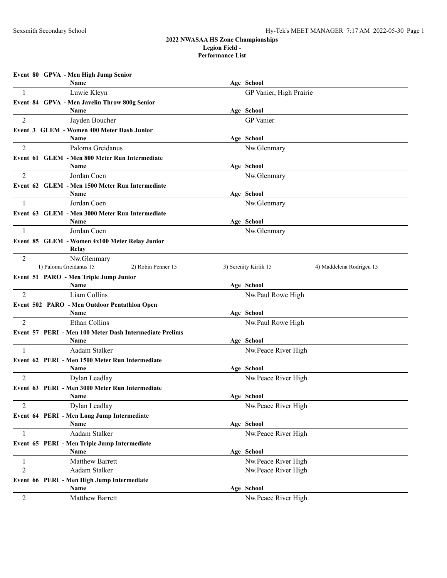|                | Event 80 GPVA - Men High Jump Senior                    |                                                   |
|----------------|---------------------------------------------------------|---------------------------------------------------|
|                | Name                                                    | Age School                                        |
| 1              | Luwie Kleyn                                             | GP Vanier, High Prairie                           |
|                | Event 84 GPVA - Men Javelin Throw 800g Senior           |                                                   |
|                | Name                                                    | Age School                                        |
| 2              | Jayden Boucher                                          | <b>GP</b> Vanier                                  |
|                | Event 3 GLEM - Women 400 Meter Dash Junior              |                                                   |
|                | Name                                                    | Age School                                        |
| 2              | Paloma Greidanus                                        | Nw.Glenmary                                       |
|                | Event 61 GLEM - Men 800 Meter Run Intermediate          |                                                   |
|                | <b>Name</b>                                             | Age School                                        |
| 2              | Jordan Coen                                             | Nw.Glenmary                                       |
|                | Event 62 GLEM - Men 1500 Meter Run Intermediate         |                                                   |
|                | Name<br>Jordan Coen                                     | Age School                                        |
| -1             |                                                         | Nw.Glenmary                                       |
|                | Event 63 GLEM - Men 3000 Meter Run Intermediate<br>Name | Age School                                        |
| 1              | Jordan Coen                                             | Nw.Glenmary                                       |
|                |                                                         |                                                   |
|                | Event 85 GLEM - Women 4x100 Meter Relay Junior<br>Relay |                                                   |
| 2              | Nw.Glenmary                                             |                                                   |
|                | 1) Paloma Greidanus 15<br>2) Robin Penner 15            | 3) Serenity Kirlik 15<br>4) Maddelena Rodrigeu 15 |
|                | Event 51 PARO - Men Triple Jump Junior                  |                                                   |
|                | Name                                                    | Age School                                        |
| 2              | Liam Collins                                            | Nw.Paul Rowe High                                 |
|                | Event 502 PARO - Men Outdoor Pentathlon Open            |                                                   |
|                | Name                                                    | Age School                                        |
| 2              | Ethan Collins                                           | Nw.Paul Rowe High                                 |
|                | Event 57 PERI - Men 100 Meter Dash Intermediate Prelims |                                                   |
|                | Name                                                    | Age School                                        |
| $\mathbf{1}$   | Aadam Stalker                                           | Nw.Peace River High                               |
|                | Event 62 PERI - Men 1500 Meter Run Intermediate         |                                                   |
|                | Name                                                    | Age School                                        |
| 2              | Dylan Leadlay                                           | Nw.Peace River High                               |
|                | Event 63 PERI - Men 3000 Meter Run Intermediate<br>Name | Age School                                        |
| 2              | Dylan Leadlay                                           | Nw.Peace River High                               |
|                | Event 64 PERI - Men Long Jump Intermediate              |                                                   |
|                | Name                                                    | Age School                                        |
| 1              | Aadam Stalker                                           | Nw.Peace River High                               |
|                | Event 65 PERI - Men Triple Jump Intermediate            |                                                   |
|                | Name                                                    | Age School                                        |
| $\mathbf{1}$   | Matthew Barrett                                         | Nw.Peace River High                               |
| $\overline{2}$ | Aadam Stalker                                           | Nw.Peace River High                               |
|                | Event 66 PERI - Men High Jump Intermediate              |                                                   |
|                | Name                                                    | Age School                                        |
| $\overline{c}$ | Matthew Barrett                                         | Nw.Peace River High                               |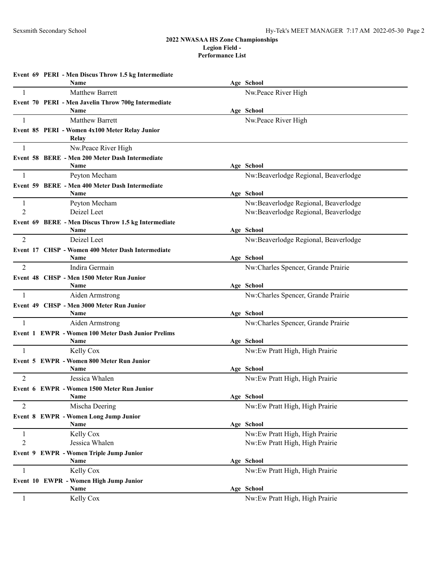|                | Event 69 PERI - Men Discus Throw 1.5 kg Intermediate        |                                                    |
|----------------|-------------------------------------------------------------|----------------------------------------------------|
|                | Name                                                        | Age School                                         |
| $\mathbf{1}$   | Matthew Barrett                                             | Nw.Peace River High                                |
|                | Event 70 PERI - Men Javelin Throw 700g Intermediate<br>Name | Age School                                         |
| $\overline{1}$ | <b>Matthew Barrett</b>                                      | Nw.Peace River High                                |
|                | Event 85 PERI - Women 4x100 Meter Relay Junior<br>Relay     |                                                    |
| -1             | Nw.Peace River High                                         |                                                    |
|                | Event 58 BERE - Men 200 Meter Dash Intermediate             |                                                    |
|                | Name                                                        | Age School                                         |
| $\mathbf{1}$   | Peyton Mecham                                               | Nw:Beaverlodge Regional, Beaverlodge               |
|                | Event 59 BERE - Men 400 Meter Dash Intermediate             |                                                    |
|                | Name                                                        | Age School                                         |
| 1              | Peyton Mecham                                               | Nw:Beaverlodge Regional, Beaverlodge               |
| $\overline{2}$ | Deizel Leet                                                 | Nw:Beaverlodge Regional, Beaverlodge               |
|                | Event 69 BERE - Men Discus Throw 1.5 kg Intermediate        |                                                    |
| 2              | Name<br>Deizel Leet                                         | Age School<br>Nw:Beaverlodge Regional, Beaverlodge |
|                |                                                             |                                                    |
|                | Event 17 CHSP - Women 400 Meter Dash Intermediate<br>Name   | Age School                                         |
| $\overline{2}$ | Indira Germain                                              | Nw:Charles Spencer, Grande Prairie                 |
|                | Event 48 CHSP - Men 1500 Meter Run Junior                   |                                                    |
|                | Name                                                        | Age School                                         |
| $\overline{1}$ | Aiden Armstrong                                             | Nw:Charles Spencer, Grande Prairie                 |
|                | Event 49 CHSP - Men 3000 Meter Run Junior                   |                                                    |
|                | Name                                                        | Age School                                         |
| 1              | Aiden Armstrong                                             | Nw:Charles Spencer, Grande Prairie                 |
|                | Event 1 EWPR - Women 100 Meter Dash Junior Prelims          |                                                    |
| $\mathbf{1}$   | Name<br>Kelly Cox                                           | Age School<br>Nw:Ew Pratt High, High Prairie       |
|                | Event 5 EWPR - Women 800 Meter Run Junior                   |                                                    |
|                | Name                                                        | Age School                                         |
| 2              | Jessica Whalen                                              | Nw:Ew Pratt High, High Prairie                     |
|                | Event 6 EWPR - Women 1500 Meter Run Junior                  |                                                    |
|                | <b>Name</b>                                                 | Age School                                         |
| 2              | Mischa Deering                                              | Nw:Ew Pratt High, High Prairie                     |
|                | Event 8 EWPR - Women Long Jump Junior                       |                                                    |
|                | Name                                                        | Age School                                         |
| $\mathbf{1}$   | Kelly Cox                                                   | Nw:Ew Pratt High, High Prairie                     |
| $\overline{2}$ | Jessica Whalen                                              | Nw:Ew Pratt High, High Prairie                     |
|                | Event 9 EWPR - Women Triple Jump Junior                     |                                                    |
|                | Name                                                        | Age School                                         |
| $\mathbf{1}$   | Kelly Cox                                                   | Nw:Ew Pratt High, High Prairie                     |
|                | Event 10 EWPR - Women High Jump Junior                      | Age School                                         |
| 1              | Name<br>Kelly Cox                                           | Nw:Ew Pratt High, High Prairie                     |
|                |                                                             |                                                    |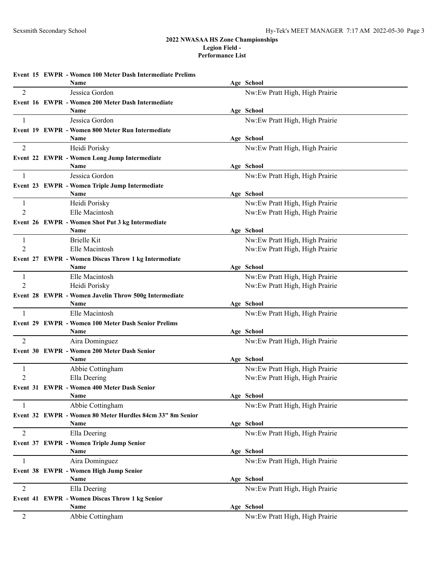|                     | Event 15 EWPR - Women 100 Meter Dash Intermediate Prelims<br>Name | Age School                                                       |  |
|---------------------|-------------------------------------------------------------------|------------------------------------------------------------------|--|
| $\overline{2}$      | Jessica Gordon                                                    | Nw:Ew Pratt High, High Prairie                                   |  |
|                     | Event 16 EWPR - Women 200 Meter Dash Intermediate                 |                                                                  |  |
|                     | Name                                                              | Age School                                                       |  |
| -1                  | Jessica Gordon                                                    | Nw:Ew Pratt High, High Prairie                                   |  |
|                     | Event 19 EWPR - Women 800 Meter Run Intermediate                  |                                                                  |  |
|                     | Name                                                              | Age School                                                       |  |
| 2                   | Heidi Porisky                                                     | Nw:Ew Pratt High, High Prairie                                   |  |
|                     | Event 22 EWPR - Women Long Jump Intermediate                      |                                                                  |  |
|                     | Name                                                              | Age School                                                       |  |
| $\mathbf{1}$        | Jessica Gordon                                                    | Nw:Ew Pratt High, High Prairie                                   |  |
|                     | Event 23 EWPR - Women Triple Jump Intermediate<br>Name            | Age School                                                       |  |
| -1                  | Heidi Porisky                                                     | Nw:Ew Pratt High, High Prairie                                   |  |
| 2                   | Elle Macintosh                                                    | Nw:Ew Pratt High, High Prairie                                   |  |
|                     | Event 26 EWPR - Women Shot Put 3 kg Intermediate                  |                                                                  |  |
|                     | Name                                                              | Age School                                                       |  |
| 1                   | <b>Brielle Kit</b>                                                | Nw:Ew Pratt High, High Prairie                                   |  |
| 2                   | Elle Macintosh                                                    | Nw:Ew Pratt High, High Prairie                                   |  |
|                     | Event 27 EWPR - Women Discus Throw 1 kg Intermediate              |                                                                  |  |
|                     | Name                                                              | Age School                                                       |  |
| 1<br>$\overline{2}$ | Elle Macintosh<br>Heidi Porisky                                   | Nw:Ew Pratt High, High Prairie<br>Nw:Ew Pratt High, High Prairie |  |
|                     | Event 28 EWPR - Women Javelin Throw 500g Intermediate             |                                                                  |  |
|                     | Name                                                              | Age School                                                       |  |
| -1                  | Elle Macintosh                                                    | Nw:Ew Pratt High, High Prairie                                   |  |
|                     | <b>Event 29 EWPR - Women 100 Meter Dash Senior Prelims</b>        |                                                                  |  |
|                     | Name                                                              | Age School                                                       |  |
| $\overline{2}$      | Aira Dominguez                                                    | Nw:Ew Pratt High, High Prairie                                   |  |
|                     | Event 30 EWPR - Women 200 Meter Dash Senior                       |                                                                  |  |
|                     | <b>Name</b>                                                       | Age School                                                       |  |
| 1<br>2              | Abbie Cottingham<br>Ella Deering                                  | Nw:Ew Pratt High, High Prairie<br>Nw:Ew Pratt High, High Prairie |  |
|                     | Event 31 EWPR - Women 400 Meter Dash Senior                       |                                                                  |  |
|                     | Name                                                              | Age School                                                       |  |
| 1                   | Abbie Cottingham                                                  | Nw:Ew Pratt High, High Prairie                                   |  |
|                     | Event 32 EWPR - Women 80 Meter Hurdles 84cm 33" 8m Senior         |                                                                  |  |
|                     | Name                                                              | Age School                                                       |  |
| 2                   | Ella Deering                                                      | Nw:Ew Pratt High, High Prairie                                   |  |
|                     | Event 37 EWPR - Women Triple Jump Senior                          |                                                                  |  |
|                     | Name                                                              | Age School                                                       |  |
| 1                   | Aira Dominguez                                                    | Nw:Ew Pratt High, High Prairie                                   |  |
|                     | Event 38 EWPR - Women High Jump Senior<br>Name                    | Age School                                                       |  |
| $\overline{2}$      | Ella Deering                                                      | Nw:Ew Pratt High, High Prairie                                   |  |
|                     | Event 41 EWPR - Women Discus Throw 1 kg Senior                    |                                                                  |  |
|                     | Name                                                              | Age School                                                       |  |
| $\overline{2}$      | Abbie Cottingham                                                  | Nw:Ew Pratt High, High Prairie                                   |  |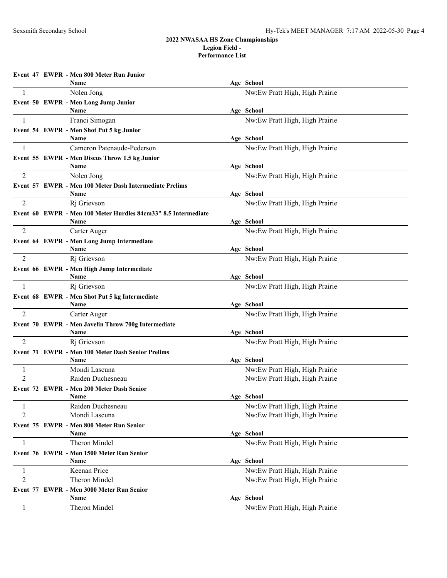**Event 47 EWPR - Men 800 Meter Run Junior Name Age School** 1 Nolen Jong Nolen Jong 2012 1 No. 2 No. 2 No. 2 No. 2 No. 2 No. 2 No. 2 No. 2 No. 2 No. 2 No. 2 No. 2 No. 2 No **Event 50 EWPR - Men Long Jump Junior Name Age School** 1 Franci Simogan Franci Simogan Nw:Ew Pratt High, High Prairie **Event 54 EWPR - Men Shot Put 5 kg Junior Name Age School** 1 Cameron Patenaude-Pederson Nw:Ew Pratt High, High Prairie **Event 55 EWPR - Men Discus Throw 1.5 kg Junior Name Age School** 2 Nolen Jong Nolen 1988 November 2 No. 2 No. 2 No. 2 No. 2 No. 2 No. 2 No. 2 No. 2 No. 2 No. 2 No. 2 No. 2 No. 2 No. 2 No. 2 No. 2 No. 2 No. 2 No. 2 No. 2 No. 2 No. 2 No. 2 No. 2 No. 2 No. 2 No. 2 No. 2 No. 2 No. 2 No. 2 N **Event 57 EWPR - Men 100 Meter Dash Intermediate Prelims Name Age School** 2 Rj Grievson Nw:Ew Pratt High, High Prairie **Event 60 EWPR - Men 100 Meter Hurdles 84cm33" 8.5 Intermediate Name Age School** 2 Carter Auger Carter Auger 2 Carter Auger 2 Carter August 2 Carter August 2 Carter August 2 Carter August 2 Carter August 2 Carter August 2 Carter August 2 Carter August 2 Carter August 2 Carter August 2 Carter August 2 C **Event 64 EWPR - Men Long Jump Intermediate Name Age School** 2 Rj Grievson Nw:Ew Pratt High, High Prairie **Event 66 EWPR - Men High Jump Intermediate Name Age School** 1 Rj Grievson Right Right Right Right Right Right Right Right Reserves and Right Right Right Right Right Right Right Right Right Right Right Right Right Right Right Right Right Right Right Right Right Right Right Right Rig **Event 68 EWPR - Men Shot Put 5 kg Intermediate Name Age School** 2 Carter Auger Carter Auger 2 Carter Auger 2 Carter August 2 Carter August 2 Carter August 2 Carter August 2 Carter August 2 Carter August 2 Carter August 2 Carter August 2 Carter August 2 Carter August 2 Carter August 2 C **Event 70 EWPR - Men Javelin Throw 700g Intermediate Name Age School** 2 Rj Grievson Nw:Ew Pratt High, High Prairie **Event 71 EWPR - Men 100 Meter Dash Senior Prelims Name Age School** 1 Mondi Lascuna 1 Mondi Lascuna 1 Mw:Ew Pratt High, High Prairie 2 Raiden Duchesneau Nw:Ew Pratt High, High Prairie **Event 72 EWPR - Men 200 Meter Dash Senior Name Age School** 1 Raiden Duchesneau Nw:Ew Pratt High, High Prairie 2 Mondi Lascuna 1996 Mondi Lascuna 1997 Mw:Ew Pratt High, High Prairie **Event 75 EWPR - Men 800 Meter Run Senior Name Age School** 1 Theron Mindel Nw:Ew Pratt High, High Prairie **Event 76 EWPR - Men 1500 Meter Run Senior Name Age School** 1 **1** Keenan Price **No. 2018 Network** Network Network Network Network Network Network Network Network Network Network Network Network Network Network Network Network Network Network Network Network Network Network Networ 2 Theron Mindel 1996 Theron Mindel 1996 Theron Mindel 1996 Nw:Ew Pratt High, High Prairie **Event 77 EWPR - Men 3000 Meter Run Senior Name Age School** 1 Theron Mindel 1 Theron Mindel 1 1 Nw:Ew Pratt High, High Prairie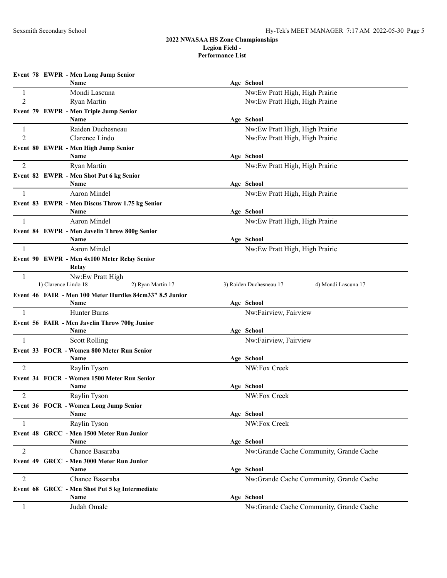|                | Event 78 EWPR - Men Long Jump Senior                          |                                                |
|----------------|---------------------------------------------------------------|------------------------------------------------|
|                | <b>Name</b>                                                   | Age School                                     |
| $\mathbf{1}$   | Mondi Lascuna                                                 | Nw:Ew Pratt High, High Prairie                 |
| $\overline{2}$ | Ryan Martin                                                   | Nw:Ew Pratt High, High Prairie                 |
|                | Event 79 EWPR - Men Triple Jump Senior                        |                                                |
|                | Name                                                          | Age School                                     |
| 1              | Raiden Duchesneau                                             | Nw:Ew Pratt High, High Prairie                 |
| 2              | Clarence Lindo                                                | Nw:Ew Pratt High, High Prairie                 |
|                | Event 80 EWPR - Men High Jump Senior<br>Name                  | Age School                                     |
| 2              | Ryan Martin                                                   | Nw:Ew Pratt High, High Prairie                 |
|                | Event 82 EWPR - Men Shot Put 6 kg Senior                      |                                                |
|                | Name                                                          | Age School                                     |
| $\mathbf{1}$   | Aaron Mindel                                                  | Nw:Ew Pratt High, High Prairie                 |
|                | Event 83 EWPR - Men Discus Throw 1.75 kg Senior               |                                                |
|                | Name                                                          | Age School                                     |
| 1              | Aaron Mindel                                                  | Nw:Ew Pratt High, High Prairie                 |
|                | Event 84 EWPR - Men Javelin Throw 800g Senior                 |                                                |
|                | Name                                                          | Age School                                     |
| 1              | <b>Aaron Mindel</b>                                           | Nw:Ew Pratt High, High Prairie                 |
|                | Event 90 EWPR - Men 4x100 Meter Relay Senior                  |                                                |
|                | Relay                                                         |                                                |
| $\mathbf{1}$   | Nw:Ew Pratt High<br>1) Clarence Lindo 18<br>2) Ryan Martin 17 | 3) Raiden Duchesneau 17<br>4) Mondi Lascuna 17 |
|                | Event 46 FAIR - Men 100 Meter Hurdles 84cm33" 8.5 Junior      |                                                |
|                | Name                                                          | Age School                                     |
| 1              | Hunter Burns                                                  | Nw:Fairview, Fairview                          |
|                | Event 56 FAIR - Men Javelin Throw 700g Junior                 |                                                |
|                | <b>Name</b>                                                   | Age School                                     |
| 1              | <b>Scott Rolling</b>                                          | Nw:Fairview, Fairview                          |
|                | Event 33 FOCR - Women 800 Meter Run Senior                    |                                                |
|                | Name                                                          | Age School                                     |
| $\overline{2}$ | Raylin Tyson                                                  | NW:Fox Creek                                   |
|                | Event 34 FOCR - Women 1500 Meter Run Senior                   |                                                |
|                | Name                                                          | Age School                                     |
| 2              | Raylin Tyson                                                  | NW:Fox Creek                                   |
|                | Event 36 FOCR - Women Long Jump Senior<br>Name                | Age School                                     |
| 1              | Raylin Tyson                                                  | NW:Fox Creek                                   |
|                |                                                               |                                                |
|                | Event 48 GRCC - Men 1500 Meter Run Junior<br>Name             | Age School                                     |
| 2              | Chance Basaraba                                               | Nw:Grande Cache Community, Grande Cache        |
|                | Event 49 GRCC - Men 3000 Meter Run Junior                     |                                                |
|                | Name                                                          | Age School                                     |
| 2              | Chance Basaraba                                               | Nw:Grande Cache Community, Grande Cache        |
|                | Event 68 GRCC - Men Shot Put 5 kg Intermediate                |                                                |
|                | Name                                                          | Age School                                     |
| 1              | Judah Omale                                                   | Nw:Grande Cache Community, Grande Cache        |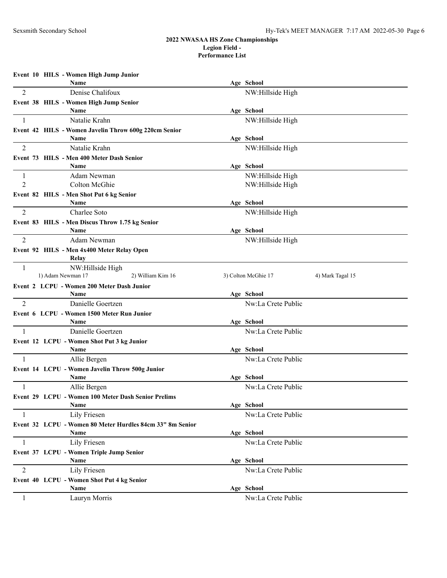|                | Event 10 HILS - Women High Jump Junior                     |                                         |  |
|----------------|------------------------------------------------------------|-----------------------------------------|--|
|                | <b>Name</b>                                                | Age School                              |  |
| 2              | Denise Chalifoux                                           | NW:Hillside High                        |  |
|                | Event 38 HILS - Women High Jump Senior<br>Name             | Age School                              |  |
|                | Natalie Krahn                                              | NW:Hillside High                        |  |
|                | Event 42 HILS - Women Javelin Throw 600g 220cm Senior      |                                         |  |
|                | Name                                                       | Age School                              |  |
| 2              | Natalie Krahn                                              | NW:Hillside High                        |  |
|                | Event 73 HILS - Men 400 Meter Dash Senior                  |                                         |  |
|                | Name                                                       | Age School                              |  |
| 1              | Adam Newman                                                | NW:Hillside High                        |  |
| 2              | Colton McGhie                                              | NW:Hillside High                        |  |
|                | Event 82 HILS - Men Shot Put 6 kg Senior                   |                                         |  |
|                | Name                                                       | Age School                              |  |
| 2              | Charlee Soto                                               | NW:Hillside High                        |  |
|                | Event 83 HILS - Men Discus Throw 1.75 kg Senior<br>Name    | Age School                              |  |
| 2              | Adam Newman                                                | NW:Hillside High                        |  |
|                | Event 92 HILS - Men 4x400 Meter Relay Open                 |                                         |  |
|                | Relay                                                      |                                         |  |
| 1              | NW:Hillside High                                           |                                         |  |
|                | 1) Adam Newman 17<br>2) William Kim 16                     | 3) Colton McGhie 17<br>4) Mark Tagal 15 |  |
|                | Event 2 LCPU - Women 200 Meter Dash Junior                 |                                         |  |
|                | Name                                                       | Age School                              |  |
| 2              | Danielle Goertzen                                          | Nw:La Crete Public                      |  |
|                | Event 6 LCPU - Women 1500 Meter Run Junior<br>Name         | Age School                              |  |
| 1              | Danielle Goertzen                                          | Nw:La Crete Public                      |  |
|                | Event 12 LCPU - Women Shot Put 3 kg Junior                 |                                         |  |
|                | <b>Name</b>                                                | Age School                              |  |
| $\mathbf{1}$   | Allie Bergen                                               | Nw:La Crete Public                      |  |
|                | Event 14 LCPU - Women Javelin Throw 500g Junior            |                                         |  |
|                | Name                                                       | Age School                              |  |
| -1             | Allie Bergen                                               | Nw:La Crete Public                      |  |
|                | <b>Event 29 LCPU - Women 100 Meter Dash Senior Prelims</b> |                                         |  |
|                | Name                                                       | Age School                              |  |
|                | Lily Friesen                                               | Nw:La Crete Public                      |  |
|                | Event 32 LCPU - Women 80 Meter Hurdles 84cm 33" 8m Senior  |                                         |  |
|                | Name                                                       | Age School                              |  |
| $\mathbf{1}$   | Lily Friesen                                               | Nw:La Crete Public                      |  |
|                | Event 37 LCPU - Women Triple Jump Senior<br>Name           | Age School                              |  |
| $\overline{2}$ | Lily Friesen                                               | Nw:La Crete Public                      |  |
|                | Event 40 LCPU - Women Shot Put 4 kg Senior                 |                                         |  |
|                | Name                                                       | Age School                              |  |
| 1              | Lauryn Morris                                              | Nw:La Crete Public                      |  |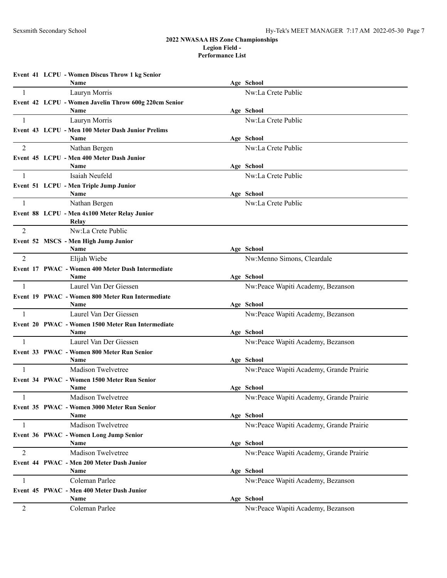**Event 41 LCPU - Women Discus Throw 1 kg Senior Name Age School** 1 Lauryn Morris Nw:La Crete Public **Event 42 LCPU - Women Javelin Throw 600g 220cm Senior Name Age School** 1 Lauryn Morris Nw:La Crete Public **Event 43 LCPU - Men 100 Meter Dash Junior Prelims Name Age School** 2 Nathan Bergen Nw:La Crete Public **Event 45 LCPU - Men 400 Meter Dash Junior Name Age School** 1 Isaiah Neufeld Nw:La Crete Public **Event 51 LCPU - Men Triple Jump Junior Name Age School** 1 Nathan Bergen Nw:La Crete Public **Event 88 LCPU - Men 4x100 Meter Relay Junior Relay** 2 Nw:La Crete Public **Event 52 MSCS - Men High Jump Junior Name Age School** 2 Elijah Wiebe **Nw:Menno Simons, Cleardale Event 17 PWAC - Women 400 Meter Dash Intermediate Name Age School** 1 Laurel Van Der Giessen Nw:Peace Wapiti Academy, Bezanson **Event 19 PWAC - Women 800 Meter Run Intermediate Name Age School** 1 Laurel Van Der Giessen 1986 (November 2008) Nw:Peace Wapiti Academy, Bezanson **Event 20 PWAC - Women 1500 Meter Run Intermediate Name Age School** 1 Laurel Van Der Giessen 1986 (November 2008) Nw:Peace Wapiti Academy, Bezanson **Event 33 PWAC - Women 800 Meter Run Senior Name Age School** 1 Madison Twelvetree Nuclear American Nuclear Assembly, Grande Prairie **Event 34 PWAC - Women 1500 Meter Run Senior Name Age School** Madison Twelvetree Nw:Peace Wapiti Academy, Grande Prairie **Event 35 PWAC - Women 3000 Meter Run Senior Name Age School** 1 Madison Twelvetree Nu: Peace Wapiti Academy, Grande Prairie **Event 36 PWAC - Women Long Jump Senior Name Age School** 2 Madison Twelvetree Nu: Peace Wapiti Academy, Grande Prairie **Event 44 PWAC - Men 200 Meter Dash Junior Name Age School** 1 Coleman Parlee Nw:Peace Wapiti Academy, Bezanson **Event 45 PWAC - Men 400 Meter Dash Junior Name Age School** 2 Coleman Parlee Coleman Parlee Nw:Peace Wapiti Academy, Bezanson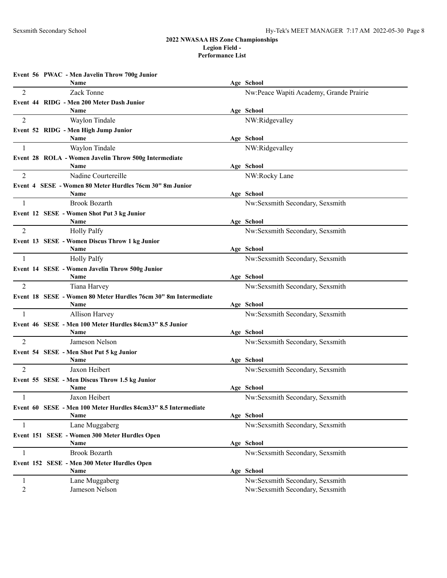**Event 56 PWAC - Men Javelin Throw 700g Junior Name Age School** 2 Zack Tonne 2 Zack Tonne 2 Zack Tonne 2 Zack Tonne 2 Zack Tonne 2 Nw:Peace Wapiti Academy, Grande Prairie **Event 44 RIDG - Men 200 Meter Dash Junior Name Age School** 2 Waylon Tindale NW:Ridgevalley **Event 52 RIDG - Men High Jump Junior Name Age School** 1 Waylon Tindale NW:Ridgevalley **Event 28 ROLA - Women Javelin Throw 500g Intermediate Name Age School** 2 Nadine Courtereille NW:Rocky Lane **Event 4 SESE - Women 80 Meter Hurdles 76cm 30" 8m Junior Name Age School** 1 Brook Bozarth Secondary, Sexsmith Secondary, Sexsmith Secondary, Sexsmith Secondary, Sexsmith Secondary, Sexsmith Secondary, Sexsmith Secondary, Sexsmith Secondary, Sexsmith Secondary, Sexsmith Secondary, Sexsmith Second **Event 12 SESE - Women Shot Put 3 kg Junior Name Age School** 2 Holly Palfy **Number 2** Number 2 Number 3 Number 3 Number 3 Number 3 Number 3 Number 3 Number 3 Number 3 Number 3 Number 3 Number 3 Number 3 Number 3 Number 3 Number 3 Number 3 Number 3 Number 3 Number 3 Number 3 Number 3 **Event 13 SESE - Women Discus Throw 1 kg Junior Name Age School** 1 Holly Palfy Nw:Sexsmith Secondary, Sexsmith **Event 14 SESE - Women Javelin Throw 500g Junior Name Age School** 2 Tiana Harvey Tiana Harvey Sexsmith Secondary, Sexsmith Secondary, Sexsmith Secondary, Sexsmith Secondary, Sexsmith **Event 18 SESE - Women 80 Meter Hurdles 76cm 30" 8m Intermediate Name Age School** 1 Allison Harvey Nw:Sexsmith Secondary, Sexsmith **Event 46 SESE - Men 100 Meter Hurdles 84cm33" 8.5 Junior Name Age School** 2 Jameson Nelson **Number 1, 2008** Number 2 All 2008 Number 2 All 2008 Number 2 All 2008 Number 2 All 2008 Number 2 All 2008 Number 2 All 2008 Number 2 All 2008 Number 2 All 2008 Number 2 All 2008 Number 2 All 2008 Number 2 **Event 54 SESE - Men Shot Put 5 kg Junior Name Age School** 2 Jaxon Heibert Jaxon Heibert Sexsmith Secondary, Sexsmith Secondary, Sexsmith Secondary, Sexsmith Secondary, Sexsmith Secondary, Sexsmith Secondary, Sexsmith Secondary, Sexsmith Secondary, Sexsmith Secondary, Sexsmith Sec **Event 55 SESE - Men Discus Throw 1.5 kg Junior Name Age School** 1 Jaxon Heibert **1** Jaxon Heibert **Nw:Sexsmith Secondary, Sexsmith Event 60 SESE - Men 100 Meter Hurdles 84cm33" 8.5 Intermediate Name Age School** 1 Lane Muggaberg **1** Nw:Sexsmith Secondary, Sexsmith **Event 151 SESE - Women 300 Meter Hurdles Open Name Age School** 1 Brook Bozarth **1** Brook Bozarth Nw:Sexsmith Secondary, Sexsmith **Event 152 SESE - Men 300 Meter Hurdles Open Name Age School** 1 Lane Muggaberg **1** Lane Muggaberg **1** Nw:Sexsmith Secondary, Sexsmith

2 Jameson Nelson **Number 1, 2008** Number 2, 2008 Number 2, 2008 Number 2, 2018 Number 2, 2018 Number 2, 2018 Number 2, 2018 Number 2, 2018 Number 2, 2018 Number 2, 2018 Number 2, 2018 Number 2, 2018 Number 2, 2018 Number 2